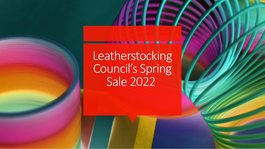Leatherstocking Council's Spring Sale 2022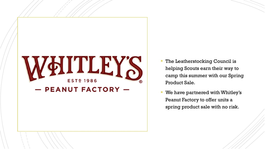

- **The Leatherstocking Council is** helping Scouts earn their way to camp this summer with our Spring Product Sale.
- We have partnered with Whitley's Peanut Factory to offer units a spring product sale with no risk.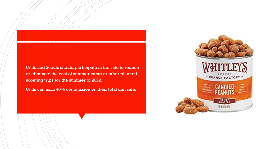Units and Scouts should participate in the sale to reduce or eliminate the cost of summer camp or other planned scouting trips for the summer of 2022.

Units can earn 40% commission on their total unit sale.

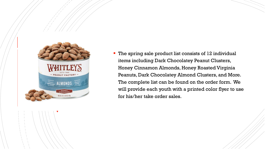

 The spring sale product list consists of 12 individual items including Dark Chocolatey Peanut Clusters, Honey Cinnamon Almonds, Honey Roasted Virginia Peanuts, Dark Chocolatey Almond Clusters, and More. The complete list can be found on the order form. We will provide each youth with a printed color flyer to use for his/her take order sales.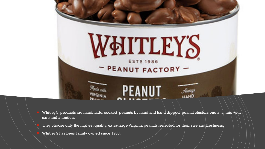

 Whitley's products are handmade, cooked peanuts by hand and hand dipped peanut clusters one at a time with care and attention.

 They choose only the highest quality, extra-large Virginia peanuts, selected for their size and freshness. Whitley's has been family owned since 1986.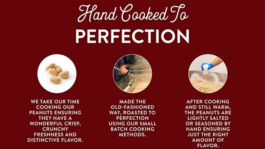## Hand Cooked To PERFECTION



**WE TAKE OUR TIME COOKING OUR PEANUTS ENSURING** THEY HAVE A **WONDERFUL CRISP, CRUNCHY FRESHNESS AND DISTINCTIVE FLAVOR.** 



**MADE THE OLD-FASHIONED WAY, ROASTED TO PERFECTION USING OUR SMALL BATCH COOKING METHODS.** 



**AFTER COOKING** AND STILL WARM, THE PEANUTS ARE **LIGHTLY SALTED** OR SEASONED BY **HAND ENSURING JUST THE RIGHT AMOUNT OF FLAVOR.**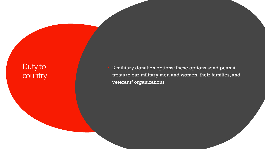## Duty to country

 2 military donation options: these options send peanut treats to our military men and women, their families, and veterans' organizations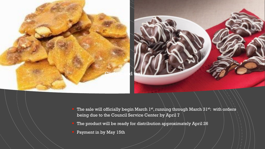

- The sale will officially begin March 1st, running through March  $31^{st}$ : with orders being due to the Council Service Center by April 7
	- The product will be ready for distribution approximately April 26
- Payment in by May 15th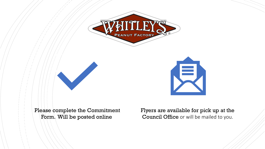





Please complete the Commitment Form. Will be posted online

Flyers are available for pick up at the Council Office or will be mailed to you.